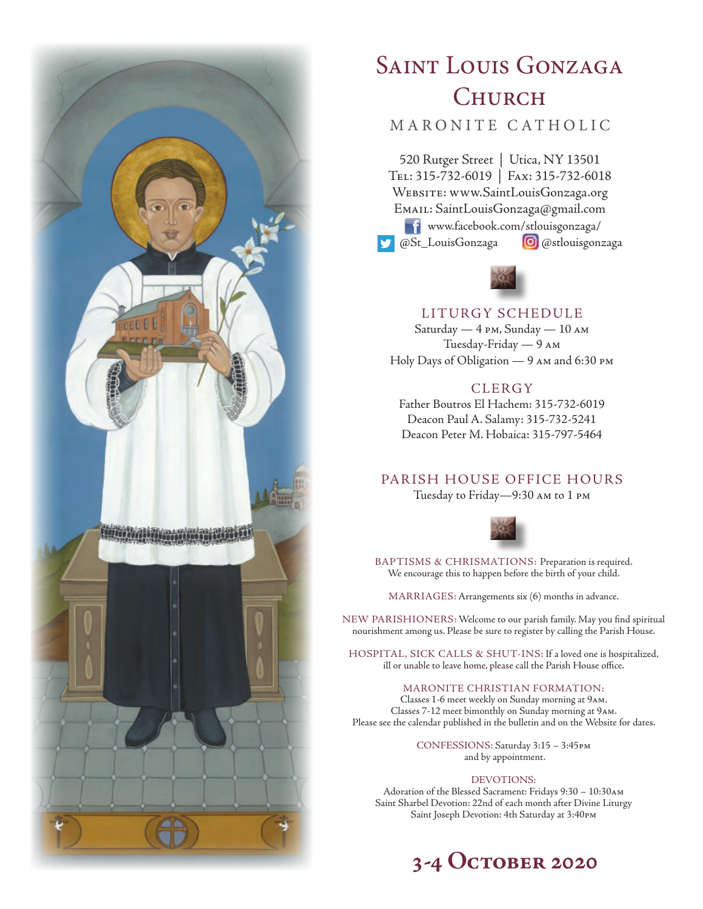

# SAINT LOUIS GONZAGA **CHURCH**

# MARONITE CATHOLIC

520 Rutger Street | Utica, NY 13501 Tel: 315-732-6019 | Fax: 315-732-6018 Website: www.SaintLouisGonzaga.org Email: SaintLouisGonzaga@gmail.com www.facebook.com/stlouisgonzaga/ @St\_LouisGonzaga **@**@stlouisgonzaga



# LITURGY SCHEDULE

Saturday — 4 pm, Sunday — 10 am Tuesday-Friday — 9 am Holy Days of Obligation — 9 am and 6:30 pm

# **CLERGY**

Father Boutros El Hachem: 315-732-6019 Deacon Paul A. Salamy: 315-732-5241 Deacon Peter M. Hobaica: 315-797-5464

# PARISH HOUSE OFFICE HOURS

Tuesday to Friday—9:30 am to 1 pm



BAPTISMS & CHRISMATIONS: Preparation is required. We encourage this to happen before the birth of your child.

MARRIAGES: Arrangements six (6) months in advance.

NEW PARISHIONERS: Welcome to our parish family. May you find spiritual nourishment among us. Please be sure to register by calling the Parish House.

HOSPITAL, SICK CALLS & SHUT-INS: If a loved one is hospitalized, ill or unable to leave home, please call the Parish House office.

#### MARONITE CHRISTIAN FORMATION:

Classes 1-6 meet weekly on Sunday morning at 9am. Classes 7-12 meet bimonthly on Sunday morning at 9am. Please see the calendar published in the bulletin and on the Website for dates.

> CONFESSIONS: Saturday 3:15 – 3:45pm and by appointment.

#### DEVOTIONS:

Adoration of the Blessed Sacrament: Fridays 9:30 – 10:30am Saint Sharbel Devotion: 22nd of each month after Divine Liturgy Saint Joseph Devotion: 4th Saturday at 3:40pm

# **3-4 October 2020**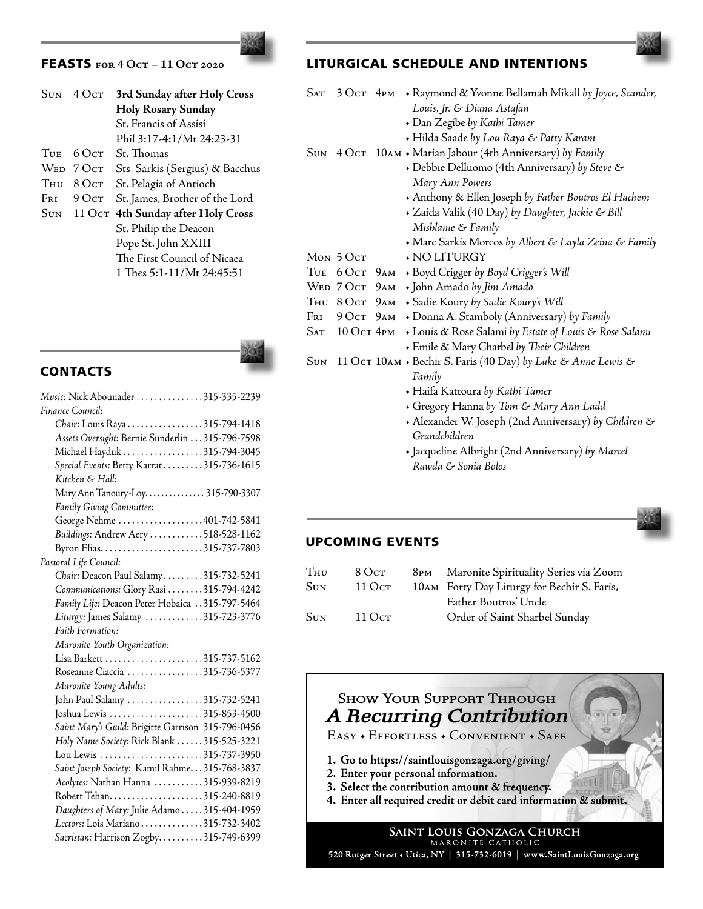# FEASTS **for 4 Oct – 11 Oct 2020**

| <b>SUN</b>       | $4\Omega$ ct | 3rd Sunday after Holy Cross     |
|------------------|--------------|---------------------------------|
|                  |              | <b>Holy Rosary Sunday</b>       |
|                  |              | St. Francis of Assisi           |
|                  |              | Phil 3:17-4:1/Mt 24:23-31       |
| TUE <sub>1</sub> | 6 Ост        | St. Thomas                      |
|                  | WED 7 OCT    | Sts. Sarkis (Sergius) & Bacchus |
| Тни              | $8$ Oct      | St. Pelagia of Antioch          |
| Fri              | 90cr         | St. James, Brother of the Lord  |
| SUN              | 11 Ост       | 4th Sunday after Holy Cross     |
|                  |              | St. Philip the Deacon           |
|                  |              | Pope St. John XXIII             |
|                  |              | The First Council of Nicaea     |
|                  |              | 1 Thes 5:1-11/Mt 24:45:51       |
|                  |              |                                 |

**CONTACTS** 



| Music: Nick Abounader 315-335-2239                 |
|----------------------------------------------------|
| Finance Council:                                   |
| Chair: Louis Raya315-794-1418                      |
| Assets Oversight: Bernie Sunderlin 315-796-7598    |
| Michael Hayduk315-794-3045                         |
| Special Events: Betty Karrat 315-736-1615          |
| Kitchen & Hall:                                    |
| Mary Ann Tanoury-Loy 315-790-3307                  |
| Family Giving Committee:                           |
| George Nehme 401-742-5841                          |
| Buildings: Andrew Aery 518-528-1162                |
| Byron Elias315-737-7803                            |
| Pastoral Life Council:                             |
| Chair: Deacon Paul Salamy315-732-5241              |
| Communications: Glory Rasi 315-794-4242            |
| Family Life: Deacon Peter Hobaica 315-797-5464     |
| Liturgy: James Salamy 315-723-3776                 |
| Faith Formation:                                   |
| Maronite Youth Organization:                       |
|                                                    |
| Roseanne Ciaccia 315-736-5377                      |
| Maronite Young Adults:                             |
| John Paul Salamy 315-732-5241                      |
| Joshua Lewis 315-853-4500                          |
| Saint Mary's Guild: Brigitte Garrison 315-796-0456 |
| Holy Name Society: Rick Blank 315-525-3221         |
| Lou Lewis 315-737-3950                             |
| Saint Joseph Society: Kamil Rahme. 315-768-3837    |
| Acolytes: Nathan Hanna 315-939-8219                |
|                                                    |
| Daughters of Mary: Julie Adamo 315-404-1959        |
| Lectors: Lois Mariano315-732-3402                  |
| Sacristan: Harrison Zogby315-749-6399              |
|                                                    |

# LITURGICAL SCHEDULE AND INTENTIONS

| <b>SAT</b>   | 3 Ост $4$ рм   | + Raymond & Yvonne Bellamah Mikall by Joyce, Scander,         |
|--------------|----------------|---------------------------------------------------------------|
|              |                | Louis, Jr. & Diana Astafan                                    |
|              |                | • Dan Zegibe by Kathi Tamer                                   |
|              |                | + Hilda Saade by Lou Raya & Patty Karam                       |
|              |                | SUN 4 OCT 10AM • Marian Jabour (4th Anniversary) by Family    |
|              |                | + Debbie Delluomo (4th Anniversary) by Steve &                |
|              |                | Mary Ann Powers                                               |
|              |                | + Anthony & Ellen Joseph by Father Boutros El Hachem          |
|              |                | · Zaida Valik (40 Day) by Daughter, Jackie & Bill             |
|              |                | Mishlanie & Family                                            |
|              |                | • Marc Sarkis Morcos by Albert & Layla Zeina & Family         |
|              | Мом 5 Ост      | + NO LITURGY                                                  |
|              | Тие 6 Ост 9 ам | + Boyd Crigger by Boyd Crigger's Will                         |
|              | Wed 7 Oct 9 AM | • John Amado by Jim Amado                                     |
|              | Thu 8 Oct 9 AM | + Sadie Koury by Sadie Koury's Will                           |
| $F_{\rm RI}$ | 9 Ост 9 ам     | + Donna A. Stamboly (Anniversary) by Family                   |
|              | Sat 10 Oct 4pm | • Louis & Rose Salami by Estate of Louis & Rose Salami        |
|              |                | • Emile & Mary Charbel by Their Children                      |
| <b>SUN</b>   |                | 11 Ост 10AM • Bechir S. Faris (40 Day) by Luke & Anne Lewis & |
|              |                | Family                                                        |
|              |                | • Haifa Kattoura by Kathi Tamer                               |
|              |                | + Gregory Hanna by Tom & Mary Ann Ladd                        |
|              |                | + Alexander W. Joseph (2nd Anniversary) by Children &         |
|              |                | Grandchildren                                                 |

•Jacqueline Albright (2nd Anniversary) *by Marcel Rawda & Sonia Bolos*



# UPCOMING EVENTS

| Тни | 8 Ост  | 8PM Maronite Spirituality Series via Zoom   |
|-----|--------|---------------------------------------------|
| Sun | 11 Ост | 10AM Forty Day Liturgy for Bechir S. Faris, |
|     |        | Father Boutros' Uncle                       |
| Sun | 11 Ост | Order of Saint Sharbel Sunday               |
|     |        |                                             |

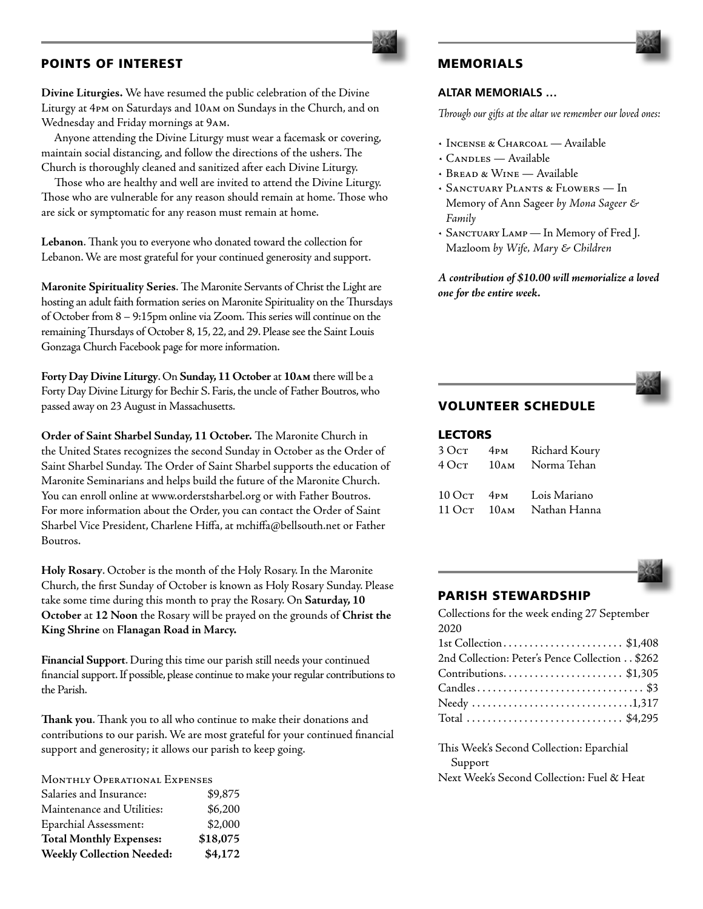### POINTS OF INTEREST

**Divine Liturgies.** We have resumed the public celebration of the Divine Liturgy at 4pm on Saturdays and 10am on Sundays in the Church, and on Wednesday and Friday mornings at 9am.

 Anyone attending the Divine Liturgy must wear a facemask or covering, maintain social distancing, and follow the directions of the ushers. The Church is thoroughly cleaned and sanitized after each Divine Liturgy.

 Those who are healthy and well are invited to attend the Divine Liturgy. Those who are vulnerable for any reason should remain at home. Those who are sick or symptomatic for any reason must remain at home.

**Lebanon**. Thank you to everyone who donated toward the collection for Lebanon. We are most grateful for your continued generosity and support.

**Maronite Spirituality Series**. The Maronite Servants of Christ the Light are hosting an adult faith formation series on Maronite Spirituality on the Thursdays of October from 8 – 9:15pm online via Zoom. This series will continue on the remaining Thursdays of October 8, 15, 22, and 29. Please see the Saint Louis Gonzaga Church Facebook page for more information.

**Forty Day Divine Liturgy**. On **Sunday, 11 October** at **10am** there will be a Forty Day Divine Liturgy for Bechir S. Faris, the uncle of Father Boutros, who passed away on 23 August in Massachusetts.

**Order of Saint Sharbel Sunday, 11 October.** The Maronite Church in the United States recognizes the second Sunday in October as the Order of Saint Sharbel Sunday. The Order of Saint Sharbel supports the education of Maronite Seminarians and helps build the future of the Maronite Church. You can enroll online at www.orderstsharbel.org or with Father Boutros. For more information about the Order, you can contact the Order of Saint Sharbel Vice President, Charlene Hiffa, at mchiffa@bellsouth.net or Father Boutros.

**Holy Rosary**. October is the month of the Holy Rosary. In the Maronite Church, the first Sunday of October is known as Holy Rosary Sunday. Please take some time during this month to pray the Rosary. On **Saturday, 10 October** at **12 Noon** the Rosary will be prayed on the grounds of **Christ the King Shrine** on **Flanagan Road in Marcy.**

**Financial Support**. During this time our parish still needs your continued financial support. If possible, please continue to make your regular contributions to the Parish.

**Thank you**. Thank you to all who continue to make their donations and contributions to our parish. We are most grateful for your continued financial support and generosity; it allows our parish to keep going.

MONTHLY OPERATIONAL EXPENSES

| <b>Weekly Collection Needed:</b> | \$4,172  |
|----------------------------------|----------|
| <b>Total Monthly Expenses:</b>   | \$18,075 |
| <b>Eparchial Assessment:</b>     | \$2,000  |
| Maintenance and Utilities:       | \$6,200  |
| Salaries and Insurance:          | \$9,875  |

# MEMORIALS

#### **ALTAR MEMORIALS …**

*Through our gifts at the altar we remember our loved ones:*

- Incense & Charcoal Available
- Candles Available
- Bread & Wine Available
- *•* Sanctuary Plants & Flowers In Memory of Ann Sageer *by Mona Sageer & Family*
- Sanctuary Lamp In Memory of Fred J. Mazloom *by Wife, Mary & Children*

*A contribution of \$10.00 will memorialize a loved one for the entire week.*



# VOLUNTEER SCHEDULE

## LECTORS

| $3$ Oct            | 4 <sub>PM</sub>  | Richard Koury |
|--------------------|------------------|---------------|
| 40cr               | 10 <sub>AM</sub> | Norma Tehan   |
|                    |                  |               |
| $100c$ T $4$ PM    |                  | Lois Mariano  |
| $11 \OmegaCT 10AM$ |                  | Nathan Hanna  |



#### PARISH STEWARDSHIP

| Collections for the week ending 27 September   |
|------------------------------------------------|
| 2020                                           |
| 1st Collection\$1,408                          |
| 2nd Collection: Peter's Pence Collection \$262 |
| Contributions\$1,305                           |
|                                                |
|                                                |
| Total  \$4,295                                 |
|                                                |

This Week's Second Collection: Eparchial Support Next Week's Second Collection: Fuel & Heat